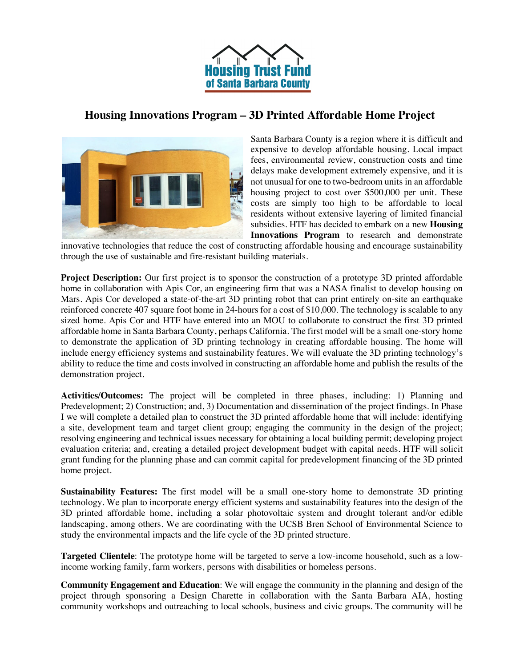

## **Housing Innovations Program – 3D Printed Affordable Home Project**



Santa Barbara County is a region where it is difficult and expensive to develop affordable housing. Local impact fees, environmental review, construction costs and time delays make development extremely expensive, and it is not unusual for one to two-bedroom units in an affordable housing project to cost over \$500,000 per unit. These costs are simply too high to be affordable to local residents without extensive layering of limited financial subsidies. HTF has decided to embark on a new **Housing Innovations Program** to research and demonstrate

innovative technologies that reduce the cost of constructing affordable housing and encourage sustainability through the use of sustainable and fire-resistant building materials.

**Project Description:** Our first project is to sponsor the construction of a prototype 3D printed affordable home in collaboration with Apis Cor, an engineering firm that was a NASA finalist to develop housing on Mars. Apis Cor developed a state-of-the-art 3D printing robot that can print entirely on-site an earthquake reinforced concrete 407 square foot home in 24-hours for a cost of \$10,000. The technology is scalable to any sized home. Apis Cor and HTF have entered into an MOU to collaborate to construct the first 3D printed affordable home in Santa Barbara County, perhaps California. The first model will be a small one-story home to demonstrate the application of 3D printing technology in creating affordable housing. The home will include energy efficiency systems and sustainability features. We will evaluate the 3D printing technology's ability to reduce the time and costs involved in constructing an affordable home and publish the results of the demonstration project.

**Activities/Outcomes:** The project will be completed in three phases, including: 1) Planning and Predevelopment; 2) Construction; and, 3) Documentation and dissemination of the project findings. In Phase I we will complete a detailed plan to construct the 3D printed affordable home that will include: identifying a site, development team and target client group; engaging the community in the design of the project; resolving engineering and technical issues necessary for obtaining a local building permit; developing project evaluation criteria; and, creating a detailed project development budget with capital needs. HTF will solicit grant funding for the planning phase and can commit capital for predevelopment financing of the 3D printed home project.

**Sustainability Features:** The first model will be a small one-story home to demonstrate 3D printing technology. We plan to incorporate energy efficient systems and sustainability features into the design of the 3D printed affordable home, including a solar photovoltaic system and drought tolerant and/or edible landscaping, among others. We are coordinating with the UCSB Bren School of Environmental Science to study the environmental impacts and the life cycle of the 3D printed structure.

**Targeted Clientele**: The prototype home will be targeted to serve a low-income household, such as a lowincome working family, farm workers, persons with disabilities or homeless persons.

**Community Engagement and Education**: We will engage the community in the planning and design of the project through sponsoring a Design Charette in collaboration with the Santa Barbara AIA, hosting community workshops and outreaching to local schools, business and civic groups. The community will be